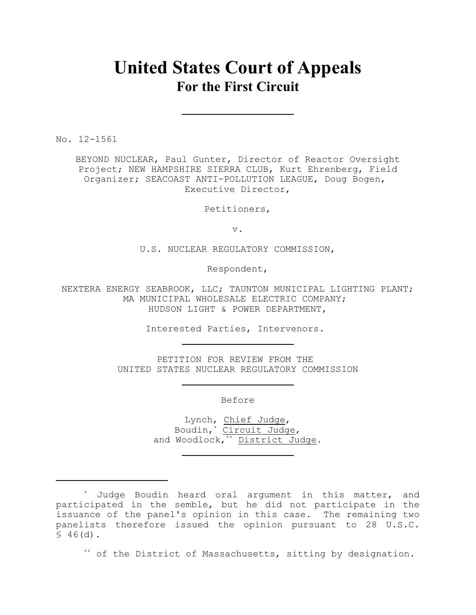# **United States Court of Appeals For the First Circuit**

No. 12-1561

BEYOND NUCLEAR, Paul Gunter, Director of Reactor Oversight Project; NEW HAMPSHIRE SIERRA CLUB, Kurt Ehrenberg, Field Organizer; SEACOAST ANTI-POLLUTION LEAGUE, Doug Bogen, Executive Director,

Petitioners,

v.

U.S. NUCLEAR REGULATORY COMMISSION,

Respondent,

NEXTERA ENERGY SEABROOK, LLC; TAUNTON MUNICIPAL LIGHTING PLANT; MA MUNICIPAL WHOLESALE ELECTRIC COMPANY; HUDSON LIGHT & POWER DEPARTMENT,

Interested Parties, Intervenors.

PETITION FOR REVIEW FROM THE UNITED STATES NUCLEAR REGULATORY COMMISSION

Before

Lynch, Chief Judge, Boudin, \* Circuit Judge, and Woodlock, $\overline{A^*}$  District Judge.

\*\* of the District of Massachusetts, sitting by designation.

<sup>\*</sup> Judge Boudin heard oral argument in this matter, and participated in the semble, but he did not participate in the issuance of the panel's opinion in this case. The remaining two panelists therefore issued the opinion pursuant to 28 U.S.C.  $$46(d).$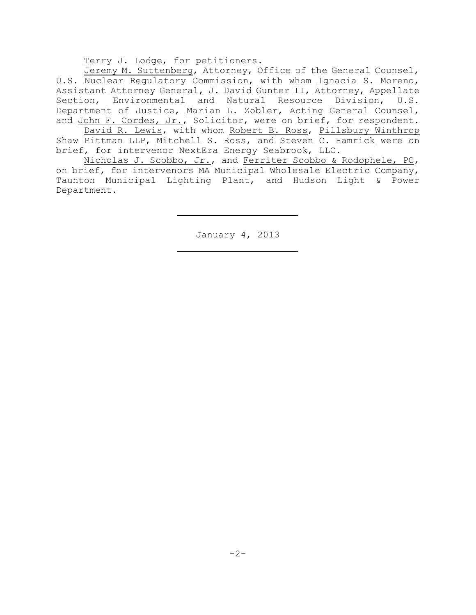Terry J. Lodge, for petitioners.

Jeremy M. Suttenberg, Attorney, Office of the General Counsel, U.S. Nuclear Regulatory Commission, with whom Ignacia S. Moreno, Assistant Attorney General, J. David Gunter II, Attorney, Appellate Section, Environmental and Natural Resource Division, U.S. Department of Justice, Marian L. Zobler, Acting General Counsel, and John F. Cordes, Jr., Solicitor, were on brief, for respondent.

David R. Lewis, with whom Robert B. Ross, Pillsbury Winthrop Shaw Pittman LLP, Mitchell S. Ross, and Steven C. Hamrick were on brief, for intervenor NextEra Energy Seabrook, LLC.

Nicholas J. Scobbo, Jr., and Ferriter Scobbo & Rodophele, PC, on brief, for intervenors MA Municipal Wholesale Electric Company, Taunton Municipal Lighting Plant, and Hudson Light & Power Department.

January 4, 2013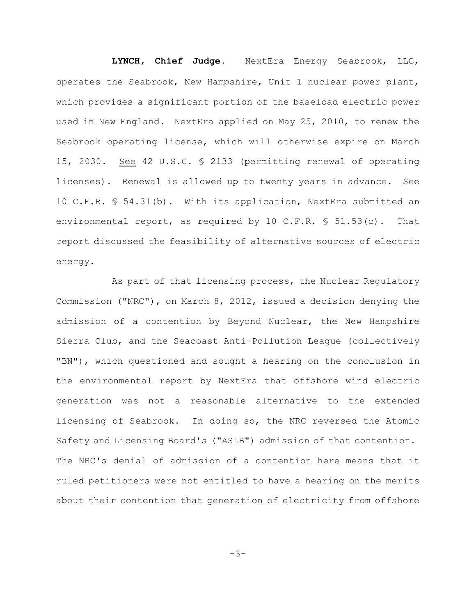**LYNCH, Chief Judge**. NextEra Energy Seabrook, LLC, operates the Seabrook, New Hampshire, Unit 1 nuclear power plant, which provides a significant portion of the baseload electric power used in New England. NextEra applied on May 25, 2010, to renew the Seabrook operating license, which will otherwise expire on March 15, 2030. See 42 U.S.C. § 2133 (permitting renewal of operating licenses). Renewal is allowed up to twenty years in advance. See 10 C.F.R. § 54.31(b). With its application, NextEra submitted an environmental report, as required by 10 C.F.R.  $\$\,51.53(c)$ . That report discussed the feasibility of alternative sources of electric energy.

As part of that licensing process, the Nuclear Regulatory Commission ("NRC"), on March 8, 2012, issued a decision denying the admission of a contention by Beyond Nuclear, the New Hampshire Sierra Club, and the Seacoast Anti-Pollution League (collectively "BN"), which questioned and sought a hearing on the conclusion in the environmental report by NextEra that offshore wind electric generation was not a reasonable alternative to the extended licensing of Seabrook. In doing so, the NRC reversed the Atomic Safety and Licensing Board's ("ASLB") admission of that contention. The NRC's denial of admission of a contention here means that it ruled petitioners were not entitled to have a hearing on the merits about their contention that generation of electricity from offshore

 $-3-$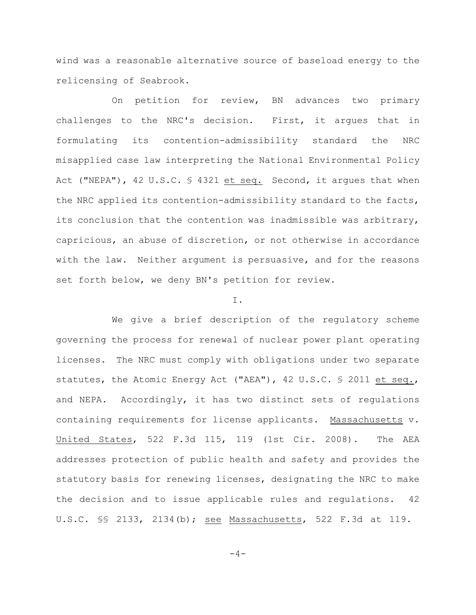wind was a reasonable alternative source of baseload energy to the relicensing of Seabrook.

On petition for review, BN advances two primary challenges to the NRC's decision. First, it argues that in formulating its contention-admissibility standard the NRC misapplied case law interpreting the National Environmental Policy Act ("NEPA"), 42 U.S.C. § 4321 et seq. Second, it argues that when the NRC applied its contention-admissibility standard to the facts, its conclusion that the contention was inadmissible was arbitrary, capricious, an abuse of discretion, or not otherwise in accordance with the law. Neither argument is persuasive, and for the reasons set forth below, we deny BN's petition for review.

#### I.

We give a brief description of the regulatory scheme governing the process for renewal of nuclear power plant operating licenses. The NRC must comply with obligations under two separate statutes, the Atomic Energy Act ("AEA"), 42 U.S.C. § 2011 et seq., and NEPA. Accordingly, it has two distinct sets of regulations containing requirements for license applicants. Massachusetts v. United States, 522 F.3d 115, 119 (1st Cir. 2008). The AEA addresses protection of public health and safety and provides the statutory basis for renewing licenses, designating the NRC to make the decision and to issue applicable rules and regulations. 42 U.S.C. §§ 2133, 2134(b); see Massachusetts, 522 F.3d at 119.

 $-4-$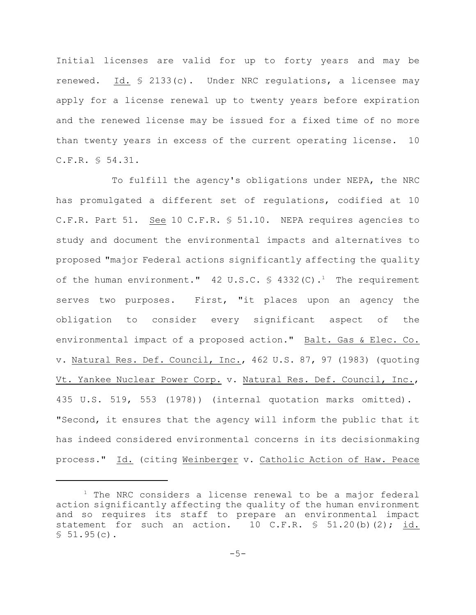Initial licenses are valid for up to forty years and may be renewed. Id. § 2133(c). Under NRC regulations, a licensee may apply for a license renewal up to twenty years before expiration and the renewed license may be issued for a fixed time of no more than twenty years in excess of the current operating license. 10 C.F.R. § 54.31.

To fulfill the agency's obligations under NEPA, the NRC has promulgated a different set of regulations, codified at 10 C.F.R. Part 51. See 10 C.F.R. § 51.10. NEPA requires agencies to study and document the environmental impacts and alternatives to proposed "major Federal actions significantly affecting the quality of the human environment." 42 U.S.C.  $\frac{1}{2}$  4332(C).<sup>1</sup> The requirement serves two purposes. First, "it places upon an agency the obligation to consider every significant aspect of the environmental impact of a proposed action." Balt. Gas & Elec. Co. v. Natural Res. Def. Council, Inc., 462 U.S. 87, 97 (1983) (quoting Vt. Yankee Nuclear Power Corp. v. Natural Res. Def. Council, Inc., 435 U.S. 519, 553 (1978)) (internal quotation marks omitted). "Second, it ensures that the agency will inform the public that it has indeed considered environmental concerns in its decisionmaking process." Id. (citing Weinberger v. Catholic Action of Haw. Peace

 $1$  The NRC considers a license renewal to be a major federal action significantly affecting the quality of the human environment and so requires its staff to prepare an environmental impact statement for such an action.  $10$  C.F.R.  $\text{\$}$  51.20(b)(2); id.  $$51.95(c).$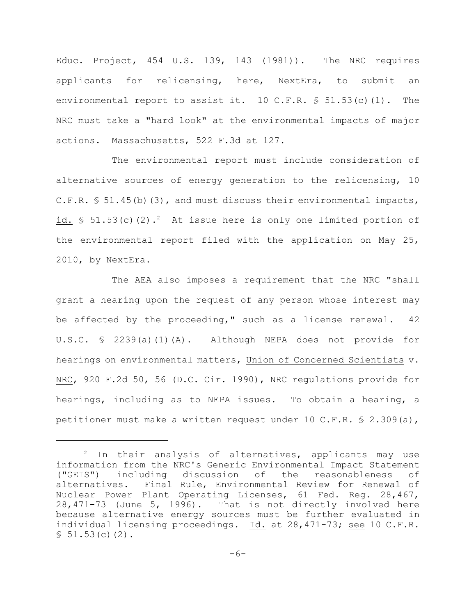Educ. Project, 454 U.S. 139, 143 (1981)). The NRC requires applicants for relicensing, here, NextEra, to submit an environmental report to assist it.  $10 \, \text{C.F.R.}$  \$ 51.53(c)(1). The NRC must take a "hard look" at the environmental impacts of major actions. Massachusetts, 522 F.3d at 127.

The environmental report must include consideration of alternative sources of energy generation to the relicensing, 10 C.F.R.  $\$$  51.45(b)(3), and must discuss their environmental impacts, id.  $\frac{1}{2}$  51.53(c)(2).<sup>2</sup> At issue here is only one limited portion of the environmental report filed with the application on May 25, 2010, by NextEra.

The AEA also imposes a requirement that the NRC "shall grant a hearing upon the request of any person whose interest may be affected by the proceeding," such as a license renewal. 42 U.S.C. § 2239(a)(1)(A). Although NEPA does not provide for hearings on environmental matters, Union of Concerned Scientists v. NRC, 920 F.2d 50, 56 (D.C. Cir. 1990), NRC regulations provide for hearings, including as to NEPA issues. To obtain a hearing, a petitioner must make a written request under 10 C.F.R.  $\frac{6}{5}$  2.309(a),

 $2$  In their analysis of alternatives, applicants may use information from the NRC's Generic Environmental Impact Statement ("GEIS") including discussion of the reasonableness of alternatives. Final Rule, Environmental Review for Renewal of Nuclear Power Plant Operating Licenses, 61 Fed. Reg. 28,467, 28,471-73 (June 5, 1996). That is not directly involved here because alternative energy sources must be further evaluated in individual licensing proceedings. Id. at 28,471-73; see 10 C.F.R.  $$51.53(c)(2)$ .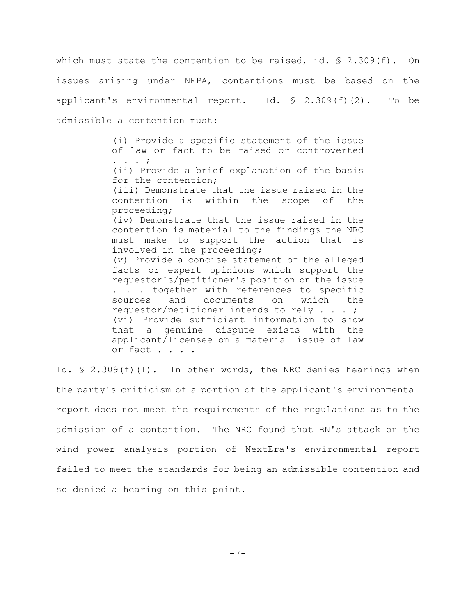which must state the contention to be raised, id.  $\S$  2.309(f). On issues arising under NEPA, contentions must be based on the applicant's environmental report.  $Id. \S$  2.309(f)(2). To be admissible a contention must:

> (i) Provide a specific statement of the issue of law or fact to be raised or controverted . . . ; (ii) Provide a brief explanation of the basis for the contention; (iii) Demonstrate that the issue raised in the contention is within the scope of the proceeding; (iv) Demonstrate that the issue raised in the contention is material to the findings the NRC must make to support the action that is involved in the proceeding; (v) Provide a concise statement of the alleged facts or expert opinions which support the requestor's/petitioner's position on the issue . . . together with references to specific sources and documents on which the requestor/petitioner intends to rely . . . ; (vi) Provide sufficient information to show that a genuine dispute exists with the applicant/licensee on a material issue of law or fact . . . .

Id. § 2.309(f)(1). In other words, the NRC denies hearings when the party's criticism of a portion of the applicant's environmental report does not meet the requirements of the regulations as to the admission of a contention. The NRC found that BN's attack on the wind power analysis portion of NextEra's environmental report failed to meet the standards for being an admissible contention and so denied a hearing on this point.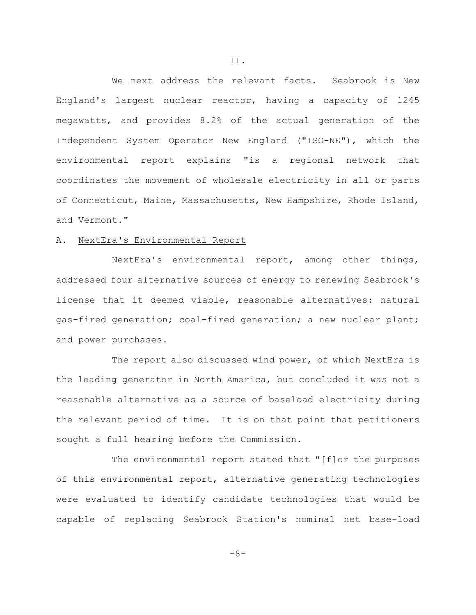We next address the relevant facts. Seabrook is New England's largest nuclear reactor, having a capacity of 1245 megawatts, and provides 8.2% of the actual generation of the Independent System Operator New England ("ISO-NE"), which the environmental report explains "is a regional network that coordinates the movement of wholesale electricity in all or parts of Connecticut, Maine, Massachusetts, New Hampshire, Rhode Island, and Vermont."

## A. NextEra's Environmental Report

NextEra's environmental report, among other things, addressed four alternative sources of energy to renewing Seabrook's license that it deemed viable, reasonable alternatives: natural gas-fired generation; coal-fired generation; a new nuclear plant; and power purchases.

The report also discussed wind power, of which NextEra is the leading generator in North America, but concluded it was not a reasonable alternative as a source of baseload electricity during the relevant period of time. It is on that point that petitioners sought a full hearing before the Commission.

The environmental report stated that "[f]or the purposes of this environmental report, alternative generating technologies were evaluated to identify candidate technologies that would be capable of replacing Seabrook Station's nominal net base-load

II.

-8-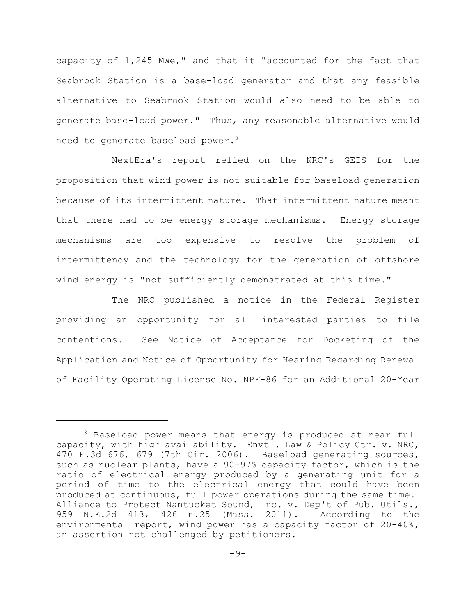capacity of 1,245 MWe," and that it "accounted for the fact that Seabrook Station is a base-load generator and that any feasible alternative to Seabrook Station would also need to be able to generate base-load power." Thus, any reasonable alternative would need to generate baseload power.<sup>3</sup>

NextEra's report relied on the NRC's GEIS for the proposition that wind power is not suitable for baseload generation because of its intermittent nature. That intermittent nature meant that there had to be energy storage mechanisms. Energy storage mechanisms are too expensive to resolve the problem of intermittency and the technology for the generation of offshore wind energy is "not sufficiently demonstrated at this time."

The NRC published a notice in the Federal Register providing an opportunity for all interested parties to file contentions. See Notice of Acceptance for Docketing of the Application and Notice of Opportunity for Hearing Regarding Renewal of Facility Operating License No. NPF-86 for an Additional 20-Year

<sup>&</sup>lt;sup>3</sup> Baseload power means that energy is produced at near full capacity, with high availability. Envtl. Law & Policy Ctr. v. NRC, 470 F.3d 676, 679 (7th Cir. 2006). Baseload generating sources, such as nuclear plants, have a 90-97% capacity factor, which is the ratio of electrical energy produced by a generating unit for a period of time to the electrical energy that could have been produced at continuous, full power operations during the same time. Alliance to Protect Nantucket Sound, Inc. v. Dep't of Pub. Utils., 959 N.E.2d 413, 426 n.25 (Mass. 2011). According to the environmental report, wind power has a capacity factor of 20-40%, an assertion not challenged by petitioners.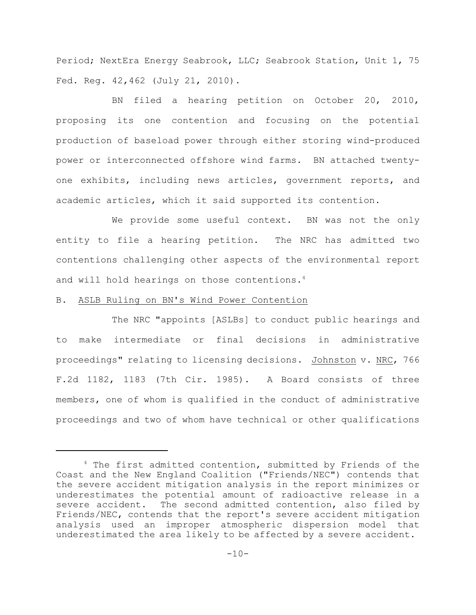Period; NextEra Energy Seabrook, LLC; Seabrook Station, Unit 1, 75 Fed. Reg. 42,462 (July 21, 2010).

BN filed a hearing petition on October 20, 2010, proposing its one contention and focusing on the potential production of baseload power through either storing wind-produced power or interconnected offshore wind farms. BN attached twentyone exhibits, including news articles, government reports, and academic articles, which it said supported its contention.

We provide some useful context. BN was not the only entity to file a hearing petition. The NRC has admitted two contentions challenging other aspects of the environmental report and will hold hearings on those contentions.<sup>4</sup>

# B. ASLB Ruling on BN's Wind Power Contention

The NRC "appoints [ASLBs] to conduct public hearings and to make intermediate or final decisions in administrative proceedings" relating to licensing decisions. Johnston v. NRC, 766 F.2d 1182, 1183 (7th Cir. 1985). A Board consists of three members, one of whom is qualified in the conduct of administrative proceedings and two of whom have technical or other qualifications

 $4$  The first admitted contention, submitted by Friends of the Coast and the New England Coalition ("Friends/NEC") contends that the severe accident mitigation analysis in the report minimizes or underestimates the potential amount of radioactive release in a severe accident. The second admitted contention, also filed by Friends/NEC, contends that the report's severe accident mitigation analysis used an improper atmospheric dispersion model that underestimated the area likely to be affected by a severe accident.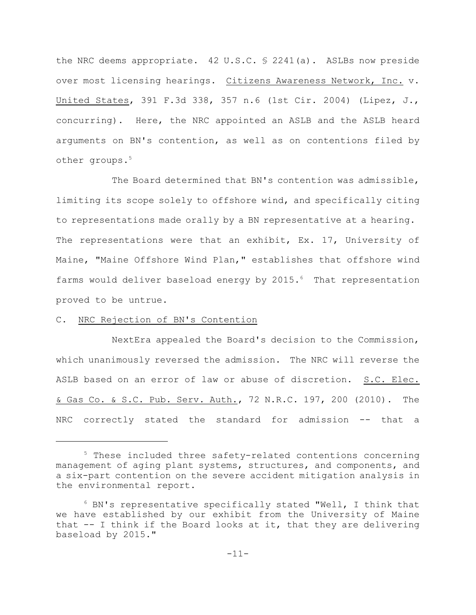the NRC deems appropriate. 42 U.S.C. § 2241(a). ASLBs now preside over most licensing hearings. Citizens Awareness Network, Inc. v. United States, 391 F.3d 338, 357 n.6 (1st Cir. 2004) (Lipez, J., concurring). Here, the NRC appointed an ASLB and the ASLB heard arguments on BN's contention, as well as on contentions filed by other groups.<sup>5</sup>

The Board determined that BN's contention was admissible, limiting its scope solely to offshore wind, and specifically citing to representations made orally by a BN representative at a hearing. The representations were that an exhibit, Ex. 17, University of Maine, "Maine Offshore Wind Plan," establishes that offshore wind farms would deliver baseload energy by 2015.<sup>6</sup> That representation proved to be untrue.

# C. NRC Rejection of BN's Contention

NextEra appealed the Board's decision to the Commission, which unanimously reversed the admission. The NRC will reverse the ASLB based on an error of law or abuse of discretion. S.C. Elec. & Gas Co. & S.C. Pub. Serv. Auth., 72 N.R.C. 197, 200 (2010). The NRC correctly stated the standard for admission -- that a

 $5$  These included three safety-related contentions concerning management of aging plant systems, structures, and components, and a six-part contention on the severe accident mitigation analysis in the environmental report.

 $6$  BN's representative specifically stated "Well, I think that we have established by our exhibit from the University of Maine that -- I think if the Board looks at it, that they are delivering baseload by 2015."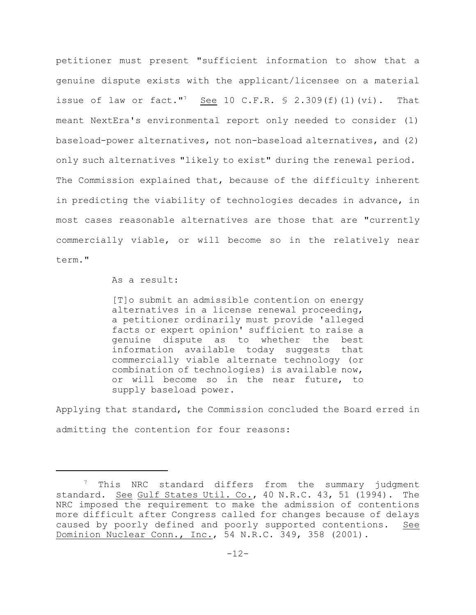petitioner must present "sufficient information to show that a genuine dispute exists with the applicant/licensee on a material issue of law or fact."<sup>7</sup> See 10 C.F.R.  $\frac{1}{5}$  2.309(f)(1)(vi). That meant NextEra's environmental report only needed to consider (1) baseload-power alternatives, not non-baseload alternatives, and (2) only such alternatives "likely to exist" during the renewal period. The Commission explained that, because of the difficulty inherent in predicting the viability of technologies decades in advance, in most cases reasonable alternatives are those that are "currently commercially viable, or will become so in the relatively near term."

As a result:

[T]o submit an admissible contention on energy alternatives in a license renewal proceeding, a petitioner ordinarily must provide 'alleged facts or expert opinion' sufficient to raise a genuine dispute as to whether the best information available today suggests that commercially viable alternate technology (or combination of technologies) is available now, or will become so in the near future, to supply baseload power.

Applying that standard, the Commission concluded the Board erred in admitting the contention for four reasons:

 $7$  This NRC standard differs from the summary judgment standard. See Gulf States Util. Co., 40 N.R.C. 43, 51 (1994). The NRC imposed the requirement to make the admission of contentions more difficult after Congress called for changes because of delays caused by poorly defined and poorly supported contentions. See Dominion Nuclear Conn., Inc., 54 N.R.C. 349, 358 (2001).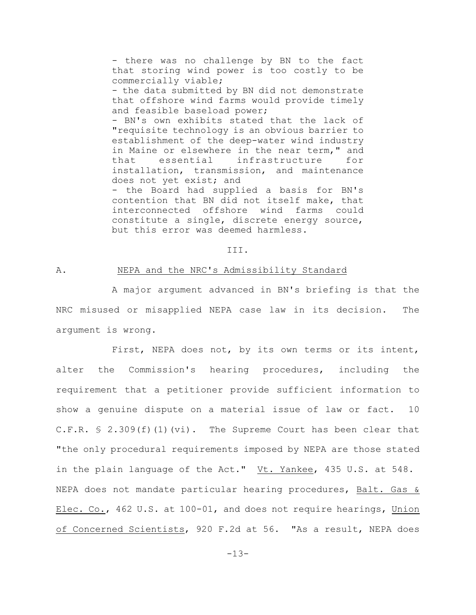- there was no challenge by BN to the fact that storing wind power is too costly to be commercially viable; - the data submitted by BN did not demonstrate that offshore wind farms would provide timely and feasible baseload power; - BN's own exhibits stated that the lack of "requisite technology is an obvious barrier to establishment of the deep-water wind industry in Maine or elsewhere in the near term," and that essential infrastructure for installation, transmission, and maintenance does not yet exist; and - the Board had supplied a basis for BN's contention that BN did not itself make, that interconnected offshore wind farms could constitute a single, discrete energy source,

III.

### A. NEPA and the NRC's Admissibility Standard

but this error was deemed harmless.

A major argument advanced in BN's briefing is that the NRC misused or misapplied NEPA case law in its decision. The argument is wrong.

First, NEPA does not, by its own terms or its intent, alter the Commission's hearing procedures, including the requirement that a petitioner provide sufficient information to show a genuine dispute on a material issue of law or fact. 10 C.F.R.  $\frac{1}{2}$  2.309(f)(1)(vi). The Supreme Court has been clear that "the only procedural requirements imposed by NEPA are those stated in the plain language of the Act." Vt. Yankee, 435 U.S. at 548. NEPA does not mandate particular hearing procedures, Balt. Gas & Elec. Co., 462 U.S. at 100-01, and does not require hearings, Union of Concerned Scientists, 920 F.2d at 56. "As a result, NEPA does

-13-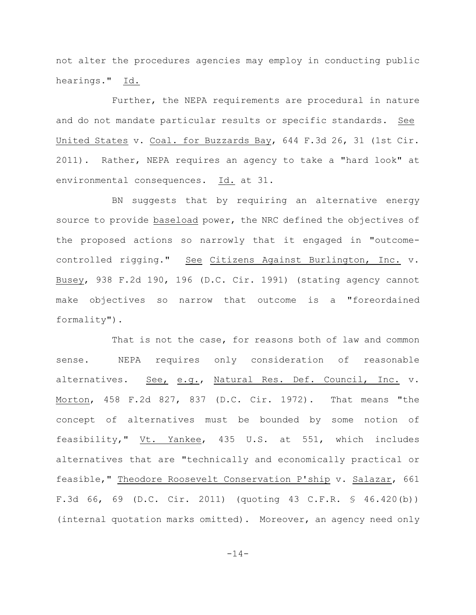not alter the procedures agencies may employ in conducting public hearings." Id.

Further, the NEPA requirements are procedural in nature and do not mandate particular results or specific standards. See United States v. Coal. for Buzzards Bay, 644 F.3d 26, 31 (1st Cir. 2011). Rather, NEPA requires an agency to take a "hard look" at environmental consequences. Id. at 31.

BN suggests that by requiring an alternative energy source to provide baseload power, the NRC defined the objectives of the proposed actions so narrowly that it engaged in "outcomecontrolled rigging." See Citizens Against Burlington, Inc. v. Busey, 938 F.2d 190, 196 (D.C. Cir. 1991) (stating agency cannot make objectives so narrow that outcome is a "foreordained formality").

That is not the case, for reasons both of law and common sense. NEPA requires only consideration of reasonable alternatives. See, e.g., Natural Res. Def. Council, Inc. v. Morton, 458 F.2d 827, 837 (D.C. Cir. 1972). That means "the concept of alternatives must be bounded by some notion of feasibility," Vt. Yankee, 435 U.S. at 551, which includes alternatives that are "technically and economically practical or feasible," Theodore Roosevelt Conservation P'ship v. Salazar, 661 F.3d 66, 69 (D.C. Cir. 2011) (quoting 43 C.F.R. § 46.420(b)) (internal quotation marks omitted). Moreover, an agency need only

-14-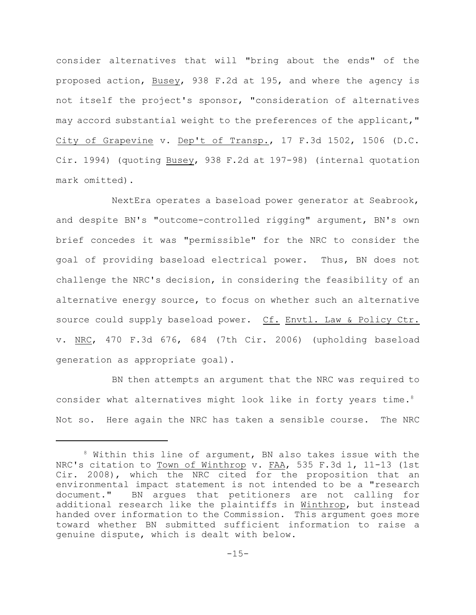consider alternatives that will "bring about the ends" of the proposed action, Busey, 938 F.2d at 195, and where the agency is not itself the project's sponsor, "consideration of alternatives may accord substantial weight to the preferences of the applicant," City of Grapevine v. Dep't of Transp., 17 F.3d 1502, 1506 (D.C. Cir. 1994) (quoting Busey, 938 F.2d at 197-98) (internal quotation mark omitted).

NextEra operates a baseload power generator at Seabrook, and despite BN's "outcome-controlled rigging" argument, BN's own brief concedes it was "permissible" for the NRC to consider the goal of providing baseload electrical power. Thus, BN does not challenge the NRC's decision, in considering the feasibility of an alternative energy source, to focus on whether such an alternative source could supply baseload power. Cf. Envtl. Law & Policy Ctr. v. NRC, 470 F.3d 676, 684 (7th Cir. 2006) (upholding baseload generation as appropriate goal).

BN then attempts an argument that the NRC was required to consider what alternatives might look like in forty years time.<sup>8</sup> Not so. Here again the NRC has taken a sensible course. The NRC

 $8$  Within this line of argument, BN also takes issue with the NRC's citation to Town of Winthrop v. FAA, 535 F.3d 1, 11-13 (1st Cir. 2008), which the NRC cited for the proposition that an environmental impact statement is not intended to be a "research document." BN argues that petitioners are not calling for additional research like the plaintiffs in Winthrop, but instead handed over information to the Commission. This argument goes more toward whether BN submitted sufficient information to raise a genuine dispute, which is dealt with below.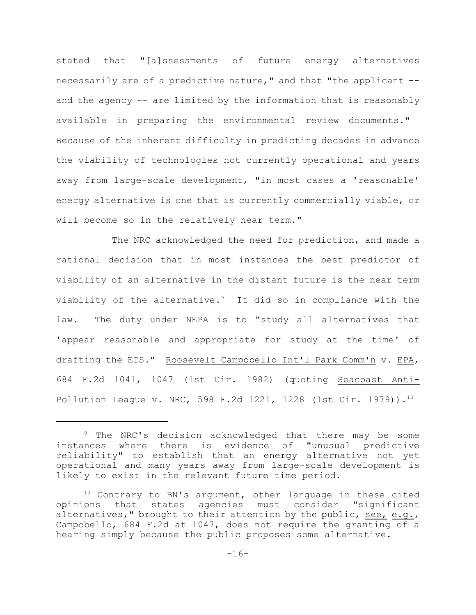stated that "[a]ssessments of future energy alternatives necessarily are of a predictive nature," and that "the applicant - and the agency -- are limited by the information that is reasonably available in preparing the environmental review documents." Because of the inherent difficulty in predicting decades in advance the viability of technologies not currently operational and years away from large-scale development, "in most cases a 'reasonable' energy alternative is one that is currently commercially viable, or will become so in the relatively near term."

The NRC acknowledged the need for prediction, and made a rational decision that in most instances the best predictor of viability of an alternative in the distant future is the near term viability of the alternative. $9$  It did so in compliance with the law. The duty under NEPA is to "study all alternatives that 'appear reasonable and appropriate for study at the time' of drafting the EIS." Roosevelt Campobello Int'l Park Comm'n v. EPA, 684 F.2d 1041, 1047 (1st Cir. 1982) (quoting Seacoast Anti-Pollution League v. NRC, 598 F.2d 1221, 1228 (1st Cir. 1979)).<sup>10</sup>

<sup>&</sup>lt;sup>9</sup> The NRC's decision acknowledged that there may be some instances where there is evidence of "unusual predictive reliability" to establish that an energy alternative not yet operational and many years away from large-scale development is likely to exist in the relevant future time period.

 $10$  Contrary to BN's argument, other language in these cited opinions that states agencies must consider "significant alternatives," brought to their attention by the public, see, e.g., Campobello, 684 F.2d at 1047, does not require the granting of a hearing simply because the public proposes some alternative.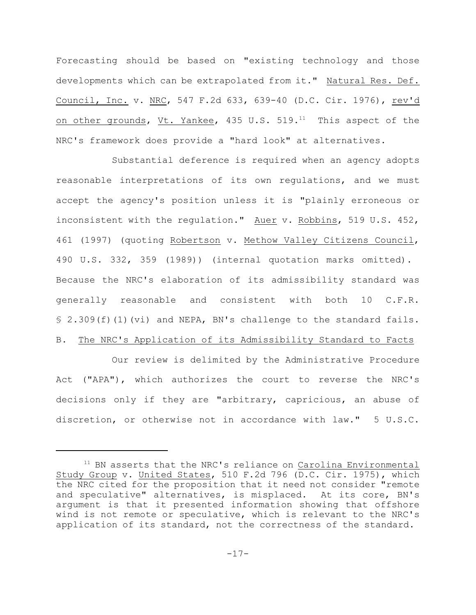Forecasting should be based on "existing technology and those developments which can be extrapolated from it." Natural Res. Def. Council, Inc. v. NRC, 547 F.2d 633, 639-40 (D.C. Cir. 1976), rev'd on other grounds, Vt. Yankee, 435 U.S.  $519.^{11}$  This aspect of the NRC's framework does provide a "hard look" at alternatives.

Substantial deference is required when an agency adopts reasonable interpretations of its own regulations, and we must accept the agency's position unless it is "plainly erroneous or inconsistent with the regulation." Auer v. Robbins, 519 U.S. 452, 461 (1997) (quoting Robertson v. Methow Valley Citizens Council, 490 U.S. 332, 359 (1989)) (internal quotation marks omitted). Because the NRC's elaboration of its admissibility standard was generally reasonable and consistent with both 10 C.F.R.  $$ 2.309(f)(1)(vi)$  and NEPA, BN's challenge to the standard fails. B. The NRC's Application of its Admissibility Standard to Facts

Our review is delimited by the Administrative Procedure Act ("APA"), which authorizes the court to reverse the NRC's decisions only if they are "arbitrary, capricious, an abuse of discretion, or otherwise not in accordance with law." 5 U.S.C.

 $11$  BN asserts that the NRC's reliance on Carolina Environmental Study Group v. United States, 510 F.2d 796 (D.C. Cir. 1975), which the NRC cited for the proposition that it need not consider "remote and speculative" alternatives, is misplaced. At its core, BN's argument is that it presented information showing that offshore wind is not remote or speculative, which is relevant to the NRC's application of its standard, not the correctness of the standard.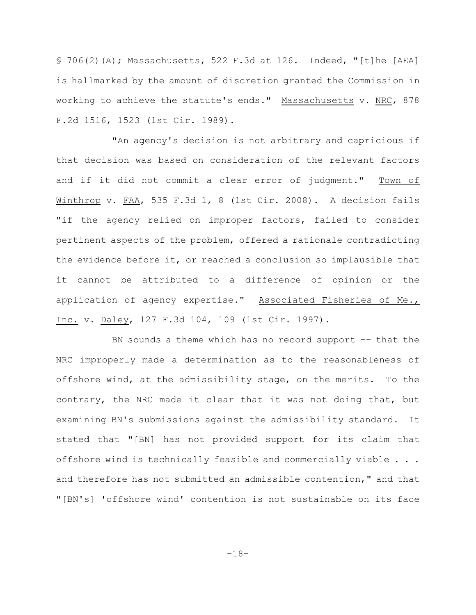$$706(2)$  (A); Massachusetts, 522 F.3d at 126. Indeed, "[t]he [AEA] is hallmarked by the amount of discretion granted the Commission in working to achieve the statute's ends." Massachusetts v. NRC, 878 F.2d 1516, 1523 (1st Cir. 1989).

"An agency's decision is not arbitrary and capricious if that decision was based on consideration of the relevant factors and if it did not commit a clear error of judgment." Town of Winthrop v. FAA, 535 F.3d 1, 8 (1st Cir. 2008). A decision fails "if the agency relied on improper factors, failed to consider pertinent aspects of the problem, offered a rationale contradicting the evidence before it, or reached a conclusion so implausible that it cannot be attributed to a difference of opinion or the application of agency expertise." Associated Fisheries of Me., Inc. v. Daley, 127 F.3d 104, 109 (1st Cir. 1997).

BN sounds a theme which has no record support -- that the NRC improperly made a determination as to the reasonableness of offshore wind, at the admissibility stage, on the merits. To the contrary, the NRC made it clear that it was not doing that, but examining BN's submissions against the admissibility standard. It stated that "[BN] has not provided support for its claim that offshore wind is technically feasible and commercially viable . . . and therefore has not submitted an admissible contention," and that "[BN's] 'offshore wind' contention is not sustainable on its face

-18-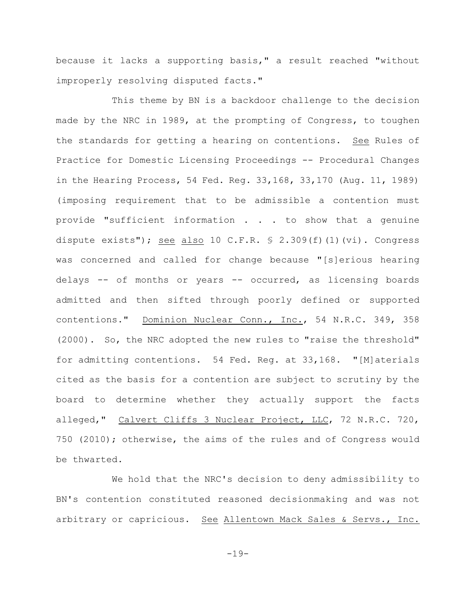because it lacks a supporting basis," a result reached "without improperly resolving disputed facts."

This theme by BN is a backdoor challenge to the decision made by the NRC in 1989, at the prompting of Congress, to toughen the standards for getting a hearing on contentions. See Rules of Practice for Domestic Licensing Proceedings -- Procedural Changes in the Hearing Process, 54 Fed. Reg. 33,168, 33,170 (Aug. 11, 1989) (imposing requirement that to be admissible a contention must provide "sufficient information . . . to show that a genuine dispute exists"); see also 10 C.F.R.  $\frac{1}{5}$  2.309(f)(1)(vi). Congress was concerned and called for change because "[s]erious hearing delays -- of months or years -- occurred, as licensing boards admitted and then sifted through poorly defined or supported contentions." Dominion Nuclear Conn., Inc., 54 N.R.C. 349, 358 (2000). So, the NRC adopted the new rules to "raise the threshold" for admitting contentions. 54 Fed. Reg. at 33,168. "[M]aterials cited as the basis for a contention are subject to scrutiny by the board to determine whether they actually support the facts alleged," Calvert Cliffs 3 Nuclear Project, LLC, 72 N.R.C. 720, 750 (2010); otherwise, the aims of the rules and of Congress would be thwarted.

We hold that the NRC's decision to deny admissibility to BN's contention constituted reasoned decisionmaking and was not arbitrary or capricious. See Allentown Mack Sales & Servs., Inc.

-19-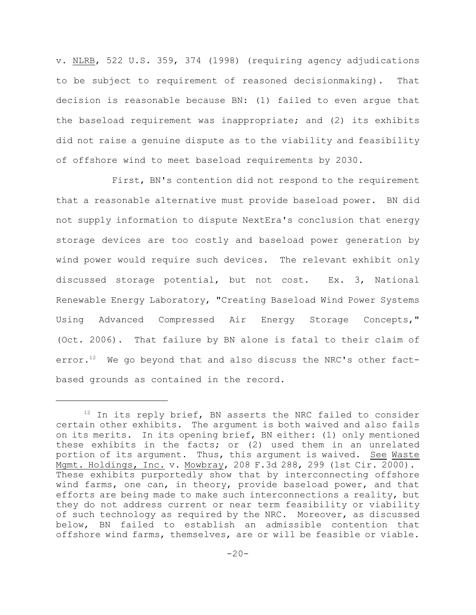v. NLRB, 522 U.S. 359, 374 (1998) (requiring agency adjudications to be subject to requirement of reasoned decisionmaking). That decision is reasonable because BN: (1) failed to even argue that the baseload requirement was inappropriate; and (2) its exhibits did not raise a genuine dispute as to the viability and feasibility of offshore wind to meet baseload requirements by 2030.

First, BN's contention did not respond to the requirement that a reasonable alternative must provide baseload power. BN did not supply information to dispute NextEra's conclusion that energy storage devices are too costly and baseload power generation by wind power would require such devices. The relevant exhibit only discussed storage potential, but not cost. Ex. 3, National Renewable Energy Laboratory, "Creating Baseload Wind Power Systems Using Advanced Compressed Air Energy Storage Concepts," (Oct. 2006). That failure by BN alone is fatal to their claim of error. $^{12}$  We go beyond that and also discuss the NRC's other factbased grounds as contained in the record.

 $12$  In its reply brief, BN asserts the NRC failed to consider certain other exhibits. The argument is both waived and also fails on its merits. In its opening brief, BN either: (1) only mentioned these exhibits in the facts; or (2) used them in an unrelated portion of its argument. Thus, this argument is waived. See Waste Mgmt. Holdings, Inc. v. Mowbray, 208 F.3d 288, 299 (1st Cir. 2000). These exhibits purportedly show that by interconnecting offshore wind farms, one can, in theory, provide baseload power, and that efforts are being made to make such interconnections a reality, but they do not address current or near term feasibility or viability of such technology as required by the NRC. Moreover, as discussed below, BN failed to establish an admissible contention that offshore wind farms, themselves, are or will be feasible or viable.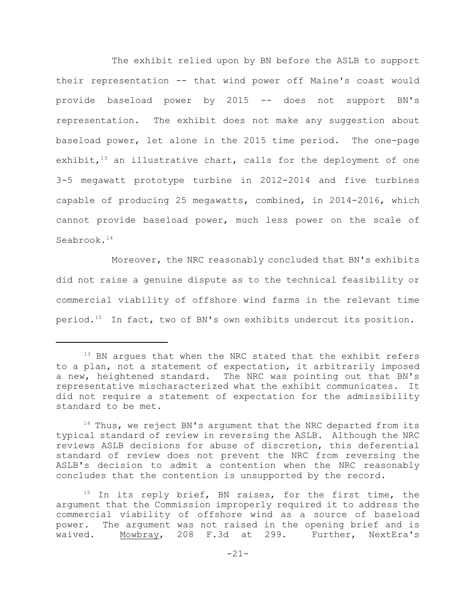The exhibit relied upon by BN before the ASLB to support their representation -- that wind power off Maine's coast would provide baseload power by 2015 -- does not support BN's representation. The exhibit does not make any suggestion about baseload power, let alone in the 2015 time period. The one-page exhibit, $13$  an illustrative chart, calls for the deployment of one 3-5 megawatt prototype turbine in 2012-2014 and five turbines capable of producing 25 megawatts, combined, in 2014-2016, which cannot provide baseload power, much less power on the scale of Seabrook.<sup>14</sup>

Moreover, the NRC reasonably concluded that BN's exhibits did not raise a genuine dispute as to the technical feasibility or commercial viability of offshore wind farms in the relevant time period.<sup>15</sup> In fact, two of BN's own exhibits undercut its position.

 $13$  BN argues that when the NRC stated that the exhibit refers to a plan, not a statement of expectation, it arbitrarily imposed a new, heightened standard. The NRC was pointing out that BN's representative mischaracterized what the exhibit communicates. It did not require a statement of expectation for the admissibility standard to be met.

 $14$  Thus, we reject BN's argument that the NRC departed from its typical standard of review in reversing the ASLB. Although the NRC reviews ASLB decisions for abuse of discretion, this deferential standard of review does not prevent the NRC from reversing the ASLB's decision to admit a contention when the NRC reasonably concludes that the contention is unsupported by the record.

 $15$  In its reply brief, BN raises, for the first time, the argument that the Commission improperly required it to address the commercial viability of offshore wind as a source of baseload power. The argument was not raised in the opening brief and is waived. Mowbray, 208 F.3d at 299. Further, NextEra's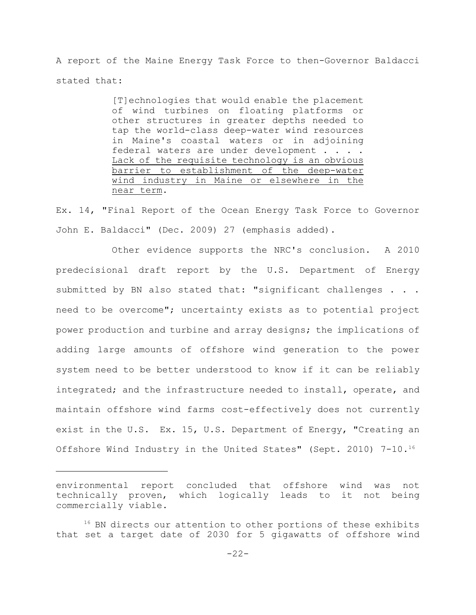A report of the Maine Energy Task Force to then-Governor Baldacci stated that:

> [T]echnologies that would enable the placement of wind turbines on floating platforms or other structures in greater depths needed to tap the world-class deep-water wind resources in Maine's coastal waters or in adjoining federal waters are under development . . . . Lack of the requisite technology is an obvious barrier to establishment of the deep-water wind industry in Maine or elsewhere in the near term.

Ex. 14, "Final Report of the Ocean Energy Task Force to Governor John E. Baldacci" (Dec. 2009) 27 (emphasis added).

Other evidence supports the NRC's conclusion. A 2010 predecisional draft report by the U.S. Department of Energy submitted by BN also stated that: "significant challenges . . . need to be overcome"; uncertainty exists as to potential project power production and turbine and array designs; the implications of adding large amounts of offshore wind generation to the power system need to be better understood to know if it can be reliably integrated; and the infrastructure needed to install, operate, and maintain offshore wind farms cost-effectively does not currently exist in the U.S. Ex. 15, U.S. Department of Energy, "Creating an Offshore Wind Industry in the United States" (Sept. 2010) 7-10.<sup>16</sup>

environmental report concluded that offshore wind was not technically proven, which logically leads to it not being commercially viable.

 $16$  BN directs our attention to other portions of these exhibits that set a target date of 2030 for 5 gigawatts of offshore wind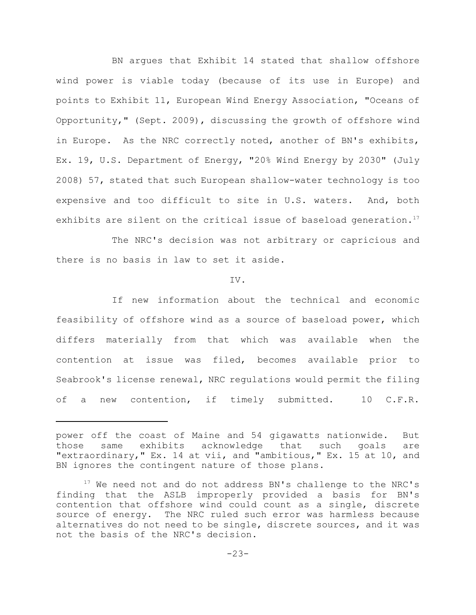BN argues that Exhibit 14 stated that shallow offshore wind power is viable today (because of its use in Europe) and points to Exhibit 11, European Wind Energy Association, "Oceans of Opportunity," (Sept. 2009), discussing the growth of offshore wind in Europe. As the NRC correctly noted, another of BN's exhibits, Ex. 19, U.S. Department of Energy, "20% Wind Energy by 2030" (July 2008) 57, stated that such European shallow-water technology is too expensive and too difficult to site in U.S. waters. And, both exhibits are silent on the critical issue of baseload generation.<sup>17</sup>

The NRC's decision was not arbitrary or capricious and there is no basis in law to set it aside.

#### IV.

If new information about the technical and economic feasibility of offshore wind as a source of baseload power, which differs materially from that which was available when the contention at issue was filed, becomes available prior to Seabrook's license renewal, NRC regulations would permit the filing of a new contention, if timely submitted. 10 C.F.R.

power off the coast of Maine and 54 gigawatts nationwide. But those same exhibits acknowledge that such goals are "extraordinary," Ex. 14 at vii, and "ambitious," Ex. 15 at 10, and BN ignores the contingent nature of those plans.

 $17$  We need not and do not address BN's challenge to the NRC's finding that the ASLB improperly provided a basis for BN's contention that offshore wind could count as a single, discrete source of energy. The NRC ruled such error was harmless because alternatives do not need to be single, discrete sources, and it was not the basis of the NRC's decision.